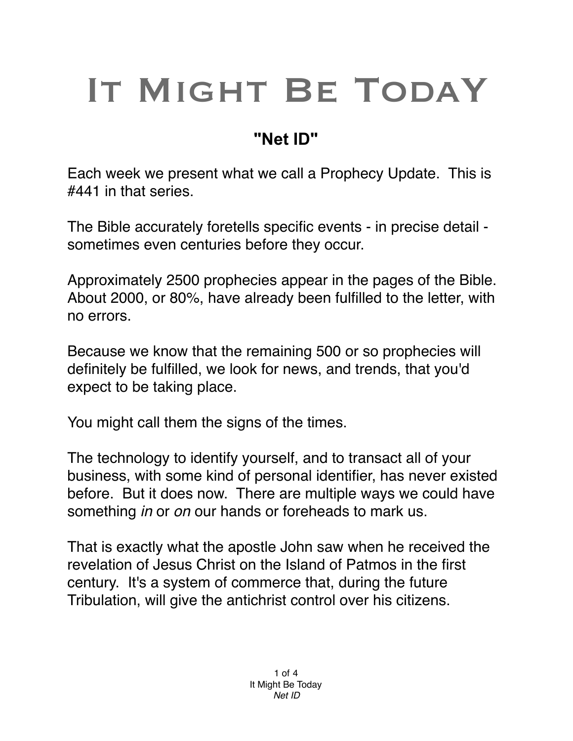# IT MIGHT BE TODAY

## **"Net ID"**

Each week we present what we call a Prophecy Update. This is #441 in that series.

The Bible accurately foretells specific events - in precise detail sometimes even centuries before they occur.

Approximately 2500 prophecies appear in the pages of the Bible. About 2000, or 80%, have already been fulfilled to the letter, with no errors.

Because we know that the remaining 500 or so prophecies will definitely be fulfilled, we look for news, and trends, that you'd expect to be taking place.

You might call them the signs of the times.

The technology to identify yourself, and to transact all of your business, with some kind of personal identifier, has never existed before. But it does now. There are multiple ways we could have something *in* or *on* our hands or foreheads to mark us.

That is exactly what the apostle John saw when he received the revelation of Jesus Christ on the Island of Patmos in the first century. It's a system of commerce that, during the future Tribulation, will give the antichrist control over his citizens.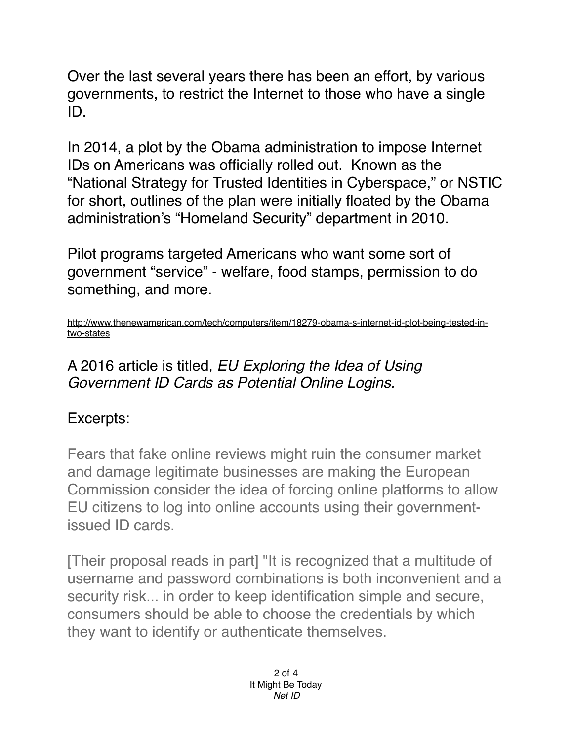Over the last several years there has been an effort, by various governments, to restrict the Internet to those who have a single ID.

In 2014, a plot by the Obama administration to impose Internet IDs on Americans was officially rolled out. Known as the "National Strategy for Trusted Identities in Cyberspace," or NSTIC for short, outlines of the plan were initially floated by the Obama administration's "Homeland Security" department in 2010.

Pilot programs targeted Americans who want some sort of government "service" - welfare, food stamps, permission to do something, and more.

[http://www.thenewamerican.com/tech/computers/item/18279-obama-s-internet-id-plot-being-tested-in](http://www.thenewamerican.com/tech/computers/item/18279-obama-s-internet-id-plot-being-tested-in-two-states)two-states

#### A 2016 article is titled, *EU Exploring the Idea of Using Government ID Cards as Potential Online Logins.*

### Excerpts:

Fears that fake online reviews might ruin the consumer market and damage legitimate businesses are making the European Commission consider the idea of forcing online platforms to allow EU citizens to log into online accounts using their governmentissued ID cards.

[Their proposal reads in part] "It is recognized that a multitude of username and password combinations is both inconvenient and a security risk... in order to keep identification simple and secure, consumers should be able to choose the credentials by which they want to identify or authenticate themselves.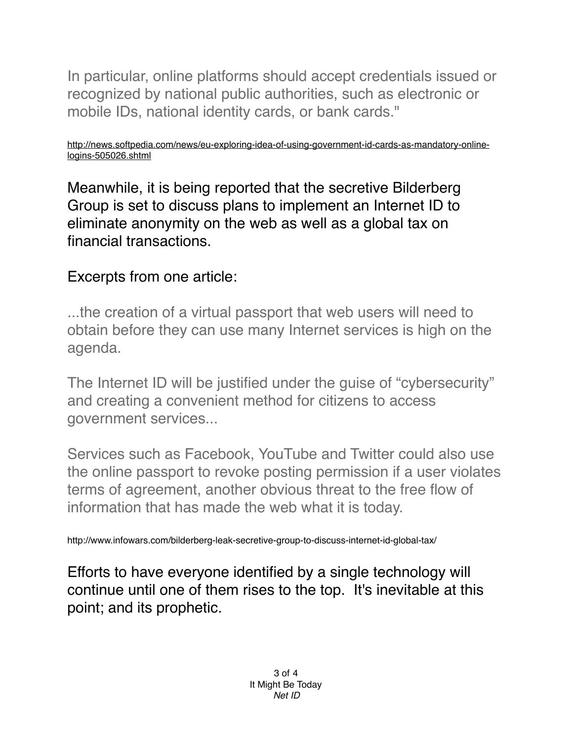In particular, online platforms should accept credentials issued or recognized by national public authorities, such as electronic or mobile IDs, national identity cards, or bank cards."

[http://news.softpedia.com/news/eu-exploring-idea-of-using-government-id-cards-as-mandatory-online](http://news.softpedia.com/news/eu-exploring-idea-of-using-government-id-cards-as-mandatory-online-logins-505026.shtml)logins-505026.shtml

Meanwhile, it is being reported that the secretive Bilderberg Group is set to discuss plans to implement an Internet ID to eliminate anonymity on the web as well as a global tax on financial transactions.

#### Excerpts from one article:

...the creation of a virtual passport that web users will need to obtain before they can use many Internet services is high on the agenda.

The Internet ID will be justified under the guise of "cybersecurity" and creating a convenient method for citizens to access government services...

Services such as Facebook, YouTube and Twitter could also use the online passport to revoke posting permission if a user violates terms of agreement, another obvious threat to the free flow of information that has made the web what it is today.

http://www.infowars.com/bilderberg-leak-secretive-group-to-discuss-internet-id-global-tax/

Efforts to have everyone identified by a single technology will continue until one of them rises to the top. It's inevitable at this point; and its prophetic.